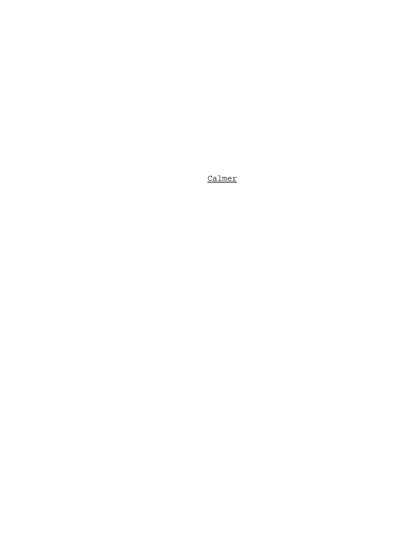Calmer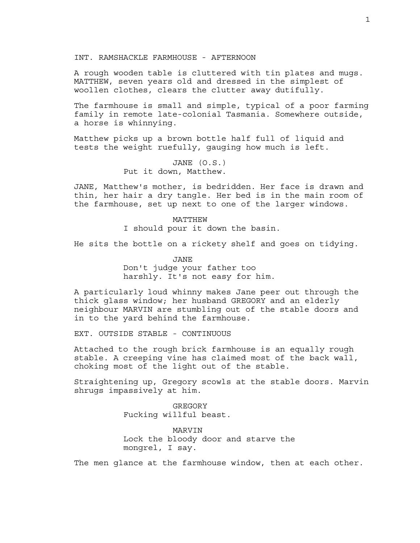INT. RAMSHACKLE FARMHOUSE - AFTERNOON

A rough wooden table is cluttered with tin plates and mugs. MATTHEW, seven years old and dressed in the simplest of woollen clothes, clears the clutter away dutifully.

The farmhouse is small and simple, typical of a poor farming family in remote late-colonial Tasmania. Somewhere outside, a horse is whinnying.

Matthew picks up a brown bottle half full of liquid and tests the weight ruefully, gauging how much is left.

> JANE (O.S.) Put it down, Matthew.

JANE, Matthew's mother, is bedridden. Her face is drawn and thin, her hair a dry tangle. Her bed is in the main room of the farmhouse, set up next to one of the larger windows.

> MATTHEW I should pour it down the basin.

He sits the bottle on a rickety shelf and goes on tidying.

JANE Don't judge your father too harshly. It's not easy for him.

A particularly loud whinny makes Jane peer out through the thick glass window; her husband GREGORY and an elderly neighbour MARVIN are stumbling out of the stable doors and in to the yard behind the farmhouse.

EXT. OUTSIDE STABLE - CONTINUOUS

Attached to the rough brick farmhouse is an equally rough stable. A creeping vine has claimed most of the back wall, choking most of the light out of the stable.

Straightening up, Gregory scowls at the stable doors. Marvin shrugs impassively at him.

> GREGORY Fucking willful beast.

MARVIN Lock the bloody door and starve the mongrel, I say.

The men glance at the farmhouse window, then at each other.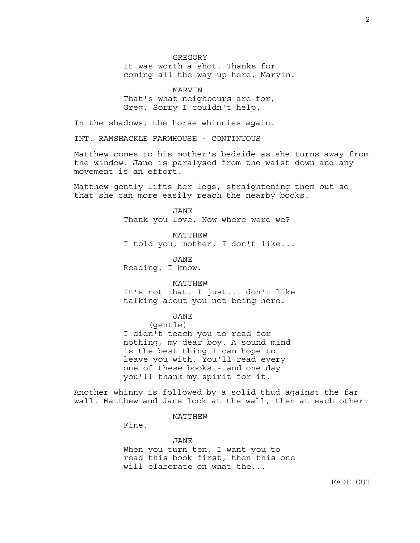GREGORY It was worth a shot. Thanks for coming all the way up here, Marvin.

MARVIN

That's what neighbours are for, Greg. Sorry I couldn't help.

In the shadows, the horse whinnies again.

INT. RAMSHACKLE FARMHOUSE - CONTINUOUS

Matthew comes to his mother's bedside as she turns away from the window. Jane is paralysed from the waist down and any movement is an effort.

Matthew gently lifts her legs, straightening them out so that she can more easily reach the nearby books.

> JANE Thank you love. Now where were we?

> > MATTHEW

I told you, mother, I don't like...

JANE Reading, I know.

## MATTHEW

It's not that. I just... don't like talking about you not being here.

### JANE

(gentle)

I didn't teach you to read for nothing, my dear boy. A sound mind is the best thing I can hope to leave you with. You'll read every one of these books - and one day you'll thank my spirit for it.

Another whinny is followed by a solid thud against the far wall. Matthew and Jane look at the wall, then at each other.

## MATTHEW

Fine.

JANE When you turn ten, I want you to read this book first, then this one will elaborate on what the...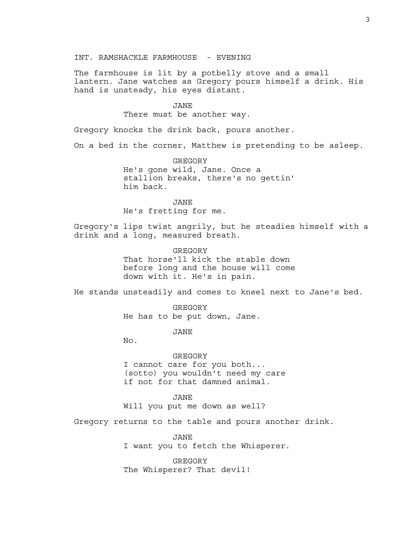INT. RAMSHACKLE FARMHOUSE - EVENING

The farmhouse is lit by a potbelly stove and a small lantern. Jane watches as Gregory pours himself a drink. His hand is unsteady, his eyes distant.

# JANE

There must be another way.

Gregory knocks the drink back, pours another.

On a bed in the corner, Matthew is pretending to be asleep.

GREGORY He's gone wild, Jane. Once a stallion breaks, there's no gettin' him back.

JANE He's fretting for me.

Gregory's lips twist angrily, but he steadies himself with a drink and a long, measured breath.

> **GREGORY** That horse'll kick the stable down before long and the house will come down with it. He's in pain.

He stands unsteadily and comes to kneel next to Jane's bed.

GREGORY He has to be put down, Jane.

JANE

No.

GREGORY I cannot care for you both... (sotto) you wouldn't need my care if not for that damned animal.

JANE Will you put me down as well?

Gregory returns to the table and pours another drink.

JANE I want you to fetch the Whisperer.

GREGORY The Whisperer? That devil!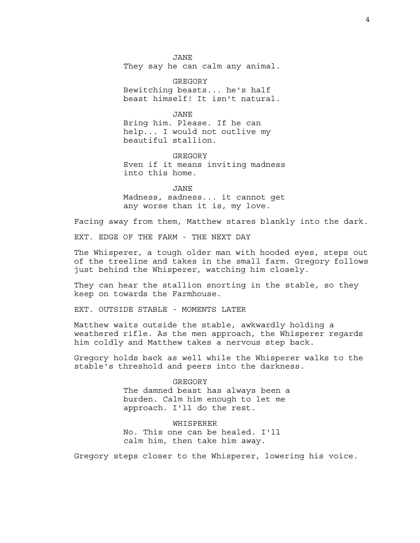JANE They say he can calm any animal.

GREGORY Bewitching beasts... he's half beast himself! It isn't natural.

JANE Bring him. Please. If he can help... I would not outlive my beautiful stallion.

**GREGORY** Even if it means inviting madness into this home.

JANE Madness, sadness... it cannot get any worse than it is, my love.

Facing away from them, Matthew stares blankly into the dark.

EXT. EDGE OF THE FARM - THE NEXT DAY

The Whisperer, a tough older man with hooded eyes, steps out of the treeline and takes in the small farm. Gregory follows just behind the Whisperer, watching him closely.

They can hear the stallion snorting in the stable, so they keep on towards the Farmhouse.

EXT. OUTSIDE STABLE - MOMENTS LATER

Matthew waits outside the stable, awkwardly holding a weathered rifle. As the men approach, the Whisperer regards him coldly and Matthew takes a nervous step back.

Gregory holds back as well while the Whisperer walks to the stable's threshold and peers into the darkness.

> GREGORY The damned beast has always been a burden. Calm him enough to let me approach. I'll do the rest.

WHISPERER No. This one can be healed. I'll calm him, then take him away.

Gregory steps closer to the Whisperer, lowering his voice.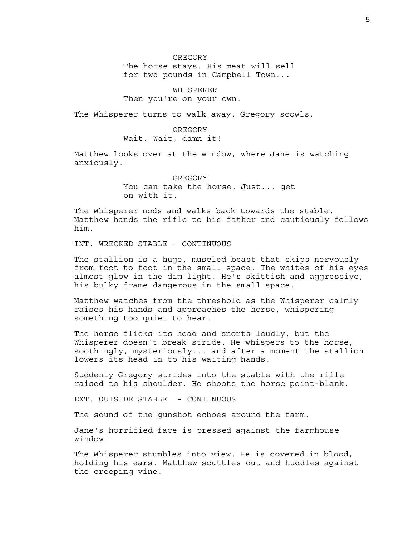GREGORY The horse stays. His meat will sell for two pounds in Campbell Town...

WHISPERER Then you're on your own.

The Whisperer turns to walk away. Gregory scowls.

## GREGORY

Wait. Wait, damn it!

Matthew looks over at the window, where Jane is watching anxiously.

> GREGORY You can take the horse. Just... get on with it.

The Whisperer nods and walks back towards the stable. Matthew hands the rifle to his father and cautiously follows him.

INT. WRECKED STABLE - CONTINUOUS

The stallion is a huge, muscled beast that skips nervously from foot to foot in the small space. The whites of his eyes almost glow in the dim light. He's skittish and aggressive, his bulky frame dangerous in the small space.

Matthew watches from the threshold as the Whisperer calmly raises his hands and approaches the horse, whispering something too quiet to hear.

The horse flicks its head and snorts loudly, but the Whisperer doesn't break stride. He whispers to the horse, soothingly, mysteriously... and after a moment the stallion lowers its head in to his waiting hands.

Suddenly Gregory strides into the stable with the rifle raised to his shoulder. He shoots the horse point-blank.

EXT. OUTSIDE STABLE - CONTINUOUS

The sound of the gunshot echoes around the farm.

Jane's horrified face is pressed against the farmhouse window.

The Whisperer stumbles into view. He is covered in blood, holding his ears. Matthew scuttles out and huddles against the creeping vine.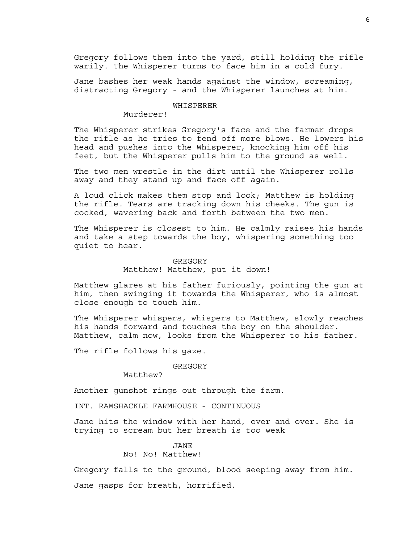Gregory follows them into the yard, still holding the rifle warily. The Whisperer turns to face him in a cold fury.

Jane bashes her weak hands against the window, screaming, distracting Gregory - and the Whisperer launches at him.

## **WHISPERER**

Murderer!

The Whisperer strikes Gregory's face and the farmer drops the rifle as he tries to fend off more blows. He lowers his head and pushes into the Whisperer, knocking him off his feet, but the Whisperer pulls him to the ground as well.

The two men wrestle in the dirt until the Whisperer rolls away and they stand up and face off again.

A loud click makes them stop and look; Matthew is holding the rifle. Tears are tracking down his cheeks. The gun is cocked, wavering back and forth between the two men.

The Whisperer is closest to him. He calmly raises his hands and take a step towards the boy, whispering something too quiet to hear.

# GREGORY

Matthew! Matthew, put it down!

Matthew glares at his father furiously, pointing the gun at him, then swinging it towards the Whisperer, who is almost close enough to touch him.

The Whisperer whispers, whispers to Matthew, slowly reaches his hands forward and touches the boy on the shoulder. Matthew, calm now, looks from the Whisperer to his father.

The rifle follows his gaze.

## GREGORY

Matthew?

Another gunshot rings out through the farm.

INT. RAMSHACKLE FARMHOUSE - CONTINUOUS

Jane hits the window with her hand, over and over. She is trying to scream but her breath is too weak

## JANE No! No! Matthew!

Gregory falls to the ground, blood seeping away from him.

Jane gasps for breath, horrified.